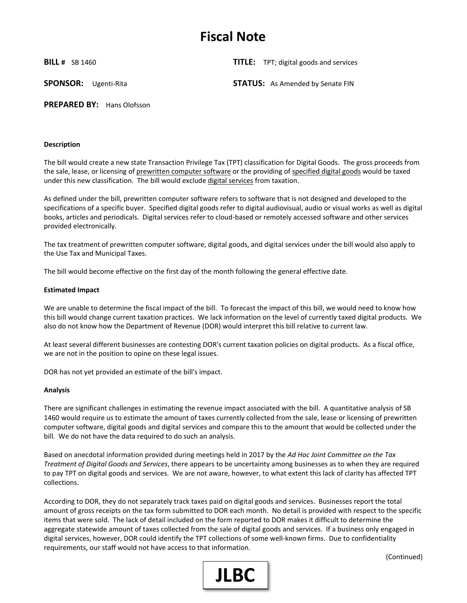# **Fiscal Note**

**BILL #** SB 1460 **TITLE:** TPT; digital goods and services

**SPONSOR:** Ugenti-Rita **STATUS:** As Amended by Senate FIN

**PREPARED BY:** Hans Olofsson

### **Description**

The bill would create a new state Transaction Privilege Tax (TPT) classification for Digital Goods. The gross proceeds from the sale, lease, or licensing of prewritten computer software or the providing of specified digital goods would be taxed under this new classification. The bill would exclude digital services from taxation.

As defined under the bill, prewritten computer software refers to software that is not designed and developed to the specifications of a specific buyer. Specified digital goods refer to digital audiovisual, audio or visual works as well as digital books, articles and periodicals. Digital services refer to cloud-based or remotely accessed software and other services provided electronically.

The tax treatment of prewritten computer software, digital goods, and digital services under the bill would also apply to the Use Tax and Municipal Taxes.

The bill would become effective on the first day of the month following the general effective date.

#### **Estimated Impact**

We are unable to determine the fiscal impact of the bill. To forecast the impact of this bill, we would need to know how this bill would change current taxation practices. We lack information on the level of currently taxed digital products. We also do not know how the Department of Revenue (DOR) would interpret this bill relative to current law.

At least several different businesses are contesting DOR's current taxation policies on digital products. As a fiscal office, we are not in the position to opine on these legal issues.

DOR has not yet provided an estimate of the bill's impact.

#### **Analysis**

There are significant challenges in estimating the revenue impact associated with the bill. A quantitative analysis of SB 1460 would require us to estimate the amount of taxes currently collected from the sale, lease or licensing of prewritten computer software, digital goods and digital services and compare this to the amount that would be collected under the bill. We do not have the data required to do such an analysis.

Based on anecdotal information provided during meetings held in 2017 by the *Ad Hoc Joint Committee on the Tax Treatment of Digital Goods and Services*, there appears to be uncertainty among businesses as to when they are required to pay TPT on digital goods and services. We are not aware, however, to what extent this lack of clarity has affected TPT collections.

According to DOR, they do not separately track taxes paid on digital goods and services. Businesses report the total amount of gross receipts on the tax form submitted to DOR each month. No detail is provided with respect to the specific items that were sold. The lack of detail included on the form reported to DOR makes it difficult to determine the aggregate statewide amount of taxes collected from the sale of digital goods and services. If a business only engaged in digital services, however, DOR could identify the TPT collections of some well-known firms. Due to confidentiality requirements, our staff would not have access to that information.



(Continued)